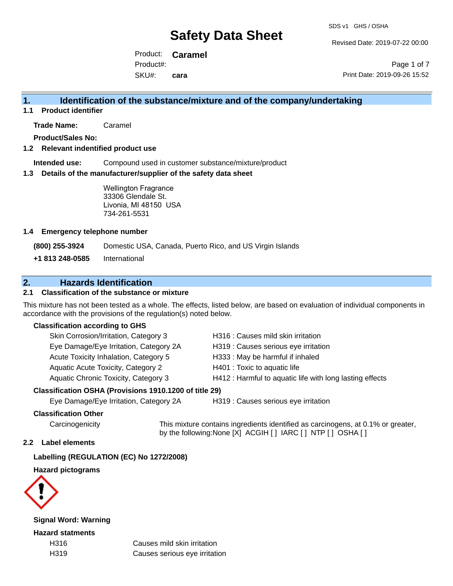Revised Date: 2019-07-22 00:00

Product: **Caramel** SKU#: Product#: **cara**

Page 1 of 7 Print Date: 2019-09-26 15:52

## **1. Identification of the substance/mixture and of the company/undertaking**

**1.1 Product identifier**

**Trade Name:** Caramel

**Product/Sales No:**

#### **1.2 Relevant indentified product use**

**Intended use:** Compound used in customer substance/mixture/product

#### **1.3 Details of the manufacturer/supplier of the safety data sheet**

Wellington Fragrance 33306 Glendale St. Livonia, MI 48150 USA 734-261-5531

#### **1.4 Emergency telephone number**

**(800) 255-3924** Domestic USA, Canada, Puerto Rico, and US Virgin Islands

**+1 813 248-0585** International

## **2. Hazards Identification**

#### **2.1 Classification of the substance or mixture**

This mixture has not been tested as a whole. The effects, listed below, are based on evaluation of individual components in accordance with the provisions of the regulation(s) noted below.

#### **Classification according to GHS**

| Skin Corrosion/Irritation, Category 3               | H316 : Causes mild skin irritation                       |
|-----------------------------------------------------|----------------------------------------------------------|
| Eye Damage/Eye Irritation, Category 2A              | H319 : Causes serious eye irritation                     |
| Acute Toxicity Inhalation, Category 5               | H333: May be harmful if inhaled                          |
| <b>Aquatic Acute Toxicity, Category 2</b>           | H401 : Toxic to aquatic life                             |
| Aquatic Chronic Toxicity, Category 3                | H412 : Harmful to aquatic life with long lasting effects |
| ssification OSHA (Provisions 1910 1200 of title 29) |                                                          |

### **Classification OSHA (Provisions 1910.1200 of title 29)**

Eye Damage/Eye Irritation, Category 2A H319 : Causes serious eye irritation

#### **Classification Other**

Carcinogenicity This mixture contains ingredients identified as carcinogens, at 0.1% or greater, by the following:None [X] ACGIH [ ] IARC [ ] NTP [ ] OSHA [ ]

#### **2.2 Label elements**

#### **Labelling (REGULATION (EC) No 1272/2008)**

**Hazard pictograms**



**Signal Word: Warning**

**Hazard statments**

H316 Causes mild skin irritation H319 Causes serious eye irritation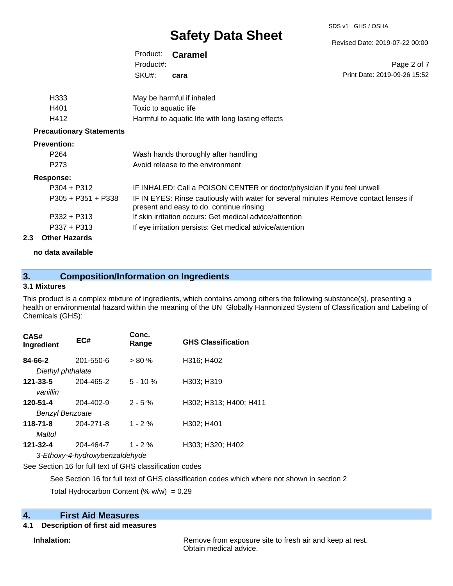#### SDS v1 GHS / OSHA

# **Safety Data Sheet**

Revised Date: 2019-07-22 00:00

Print Date: 2019-09-26 15:52

Page 2 of 7

| Product:  | <b>Caramel</b> |
|-----------|----------------|
| Product#: |                |
| SKU#:     | cara           |

| H <sub>333</sub>                | May be harmful if inhaled                                                                                                        |
|---------------------------------|----------------------------------------------------------------------------------------------------------------------------------|
| H401                            | Toxic to aquatic life                                                                                                            |
| H412                            | Harmful to aquatic life with long lasting effects                                                                                |
| <b>Precautionary Statements</b> |                                                                                                                                  |
| <b>Prevention:</b>              |                                                                                                                                  |
| P <sub>264</sub>                | Wash hands thoroughly after handling                                                                                             |
| P <sub>273</sub>                | Avoid release to the environment                                                                                                 |
| Response:                       |                                                                                                                                  |
| $P304 + P312$                   | IF INHALED: Call a POISON CENTER or doctor/physician if you feel unwell                                                          |
| $P305 + P351 + P338$            | IF IN EYES: Rinse cautiously with water for several minutes Remove contact lenses if<br>present and easy to do. continue rinsing |
| $P332 + P313$                   | If skin irritation occurs: Get medical advice/attention                                                                          |
| $P337 + P313$                   | If eye irritation persists: Get medical advice/attention                                                                         |

## **2.3 Other Hazards**

**no data available**

## **3. Composition/Information on Ingredients**

#### **3.1 Mixtures**

This product is a complex mixture of ingredients, which contains among others the following substance(s), presenting a health or environmental hazard within the meaning of the UN Globally Harmonized System of Classification and Labeling of Chemicals (GHS):

| CAS#<br>Ingredient                                       | EC#                            | Conc.<br>Range | <b>GHS Classification</b> |  |  |
|----------------------------------------------------------|--------------------------------|----------------|---------------------------|--|--|
| 84-66-2<br>Diethyl phthalate                             | 201-550-6                      | $> 80 \%$      | H316; H402                |  |  |
| $121 - 33 - 5$<br>vanillin                               | 204-465-2                      | $5 - 10 \%$    | H303; H319                |  |  |
| 120-51-4                                                 | 204-402-9                      | $2 - 5%$       | H302; H313; H400; H411    |  |  |
| <b>Benzyl Benzoate</b>                                   |                                |                |                           |  |  |
| $118 - 71 - 8$                                           | 204-271-8                      | $1 - 2%$       | H302: H401                |  |  |
| Maltol                                                   |                                |                |                           |  |  |
| 121-32-4                                                 | 204-464-7                      | $1 - 2%$       | H303; H320; H402          |  |  |
|                                                          | 3-Ethoxy-4-hydroxybenzaldehyde |                |                           |  |  |
| See Section 16 for full text of GHS classification codes |                                |                |                           |  |  |

See Section 16 for full text of GHS classification codes which where not shown in section 2

Total Hydrocarbon Content (%  $w/w$ ) = 0.29

## **4. First Aid Measures**

## **4.1 Description of first aid measures**

**Inhalation:** Remove from exposure site to fresh air and keep at rest. Obtain medical advice.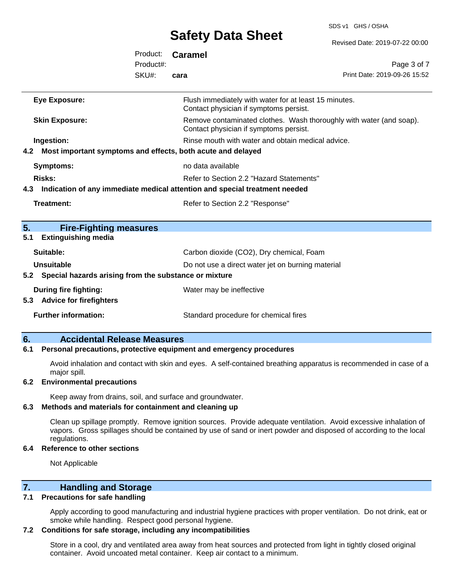SDS v1 GHS / OSHA

|                                                                    |           | <b>OUIGLY DULU OIIGGL</b>                                                                                     | Revised Date: 2019-07-22 00:00 |
|--------------------------------------------------------------------|-----------|---------------------------------------------------------------------------------------------------------------|--------------------------------|
|                                                                    | Product:  | <b>Caramel</b>                                                                                                |                                |
|                                                                    | Product#: |                                                                                                               | Page 3 of 7                    |
|                                                                    | SKU#:     | cara                                                                                                          | Print Date: 2019-09-26 15:52   |
| <b>Eye Exposure:</b>                                               |           | Flush immediately with water for at least 15 minutes.<br>Contact physician if symptoms persist.               |                                |
| <b>Skin Exposure:</b>                                              |           | Remove contaminated clothes. Wash thoroughly with water (and soap).<br>Contact physician if symptoms persist. |                                |
| Ingestion:                                                         |           | Rinse mouth with water and obtain medical advice.                                                             |                                |
| Most important symptoms and effects, both acute and delayed<br>4.2 |           |                                                                                                               |                                |
| <b>Symptoms:</b>                                                   |           | no data available                                                                                             |                                |
| <b>Risks:</b>                                                      |           | Refer to Section 2.2 "Hazard Statements"                                                                      |                                |
| 4.3                                                                |           | Indication of any immediate medical attention and special treatment needed                                    |                                |
| <b>Treatment:</b>                                                  |           | Refer to Section 2.2 "Response"                                                                               |                                |
| 5.<br><b>Fire-Fighting measures</b>                                |           |                                                                                                               |                                |
| <b>Extinguishing media</b><br>5.1                                  |           |                                                                                                               |                                |
| Suitable:                                                          |           | Carbon dioxide (CO2), Dry chemical, Foam                                                                      |                                |
| <b>Unsuitable</b>                                                  |           | Do not use a direct water jet on burning material                                                             |                                |
| Special hazards arising from the substance or mixture<br>5.2       |           |                                                                                                               |                                |
| <b>During fire fighting:</b><br>5.3 Advice for firefighters        |           | Water may be ineffective                                                                                      |                                |
| <b>Further information:</b>                                        |           | Standard procedure for chemical fires                                                                         |                                |

## **6. Accidental Release Measures**

#### **6.1 Personal precautions, protective equipment and emergency procedures**

Avoid inhalation and contact with skin and eyes. A self-contained breathing apparatus is recommended in case of a major spill.

#### **6.2 Environmental precautions**

Keep away from drains, soil, and surface and groundwater.

#### **6.3 Methods and materials for containment and cleaning up**

Clean up spillage promptly. Remove ignition sources. Provide adequate ventilation. Avoid excessive inhalation of vapors. Gross spillages should be contained by use of sand or inert powder and disposed of according to the local regulations.

#### **6.4 Reference to other sections**

Not Applicable

## **7. Handling and Storage**

#### **7.1 Precautions for safe handling**

Apply according to good manufacturing and industrial hygiene practices with proper ventilation. Do not drink, eat or smoke while handling. Respect good personal hygiene.

#### **7.2 Conditions for safe storage, including any incompatibilities**

Store in a cool, dry and ventilated area away from heat sources and protected from light in tightly closed original container. Avoid uncoated metal container. Keep air contact to a minimum.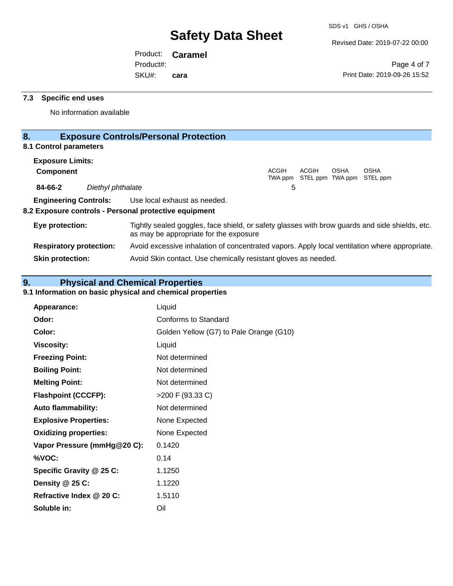Revised Date: 2019-07-22 00:00

Product: **Caramel** SKU#: Product#: **cara**

Page 4 of 7 Print Date: 2019-09-26 15:52

#### **7.3 Specific end uses**

No information available

## **8. Exposure Controls/Personal Protection**

### **8.1 Control parameters**

| <b>Exposure Limits:</b> |                   |                                                                                                                    |              |                                            |             |             |  |
|-------------------------|-------------------|--------------------------------------------------------------------------------------------------------------------|--------------|--------------------------------------------|-------------|-------------|--|
| <b>Component</b>        |                   |                                                                                                                    | <b>ACGIH</b> | ACGIH<br>TWA ppm STEL ppm TWA ppm STEL ppm | <b>OSHA</b> | <b>OSHA</b> |  |
| 84-66-2                 | Diethyl phthalate |                                                                                                                    | 5            |                                            |             |             |  |
|                         |                   | <b>Engineering Controls:</b> Use local exhaust as needed.<br>8.2 Exposure controls - Personal protective equipment |              |                                            |             |             |  |
| Eye protection:         |                   | Tightly sealed goggles, face shield, or safety glasses with brow guards and side shields, etc.                     |              |                                            |             |             |  |

as may be appropriate for the exposure **Respiratory protection:** Avoid excessive inhalation of concentrated vapors. Apply local ventilation where appropriate. **Skin protection:** Avoid Skin contact. Use chemically resistant gloves as needed.

## **9. Physical and Chemical Properties**

### **9.1 Information on basic physical and chemical properties**

| <b>Appearance:</b>           | Liquid                                  |
|------------------------------|-----------------------------------------|
| Odor:                        | Conforms to Standard                    |
| Color:                       | Golden Yellow (G7) to Pale Orange (G10) |
| <b>Viscosity:</b>            | Liquid                                  |
| <b>Freezing Point:</b>       | Not determined                          |
| <b>Boiling Point:</b>        | Not determined                          |
| <b>Melting Point:</b>        | Not determined                          |
| <b>Flashpoint (CCCFP):</b>   | >200 F (93.33 C)                        |
| <b>Auto flammability:</b>    | Not determined                          |
| <b>Explosive Properties:</b> | None Expected                           |
| <b>Oxidizing properties:</b> | None Expected                           |
| Vapor Pressure (mmHg@20 C):  | 0.1420                                  |
| %VOC:                        | 0.14                                    |
| Specific Gravity @ 25 C:     | 1.1250                                  |
| Density $@25C$ :             | 1.1220                                  |
| Refractive Index @ 20 C:     | 1.5110                                  |
| Soluble in:                  | Oil                                     |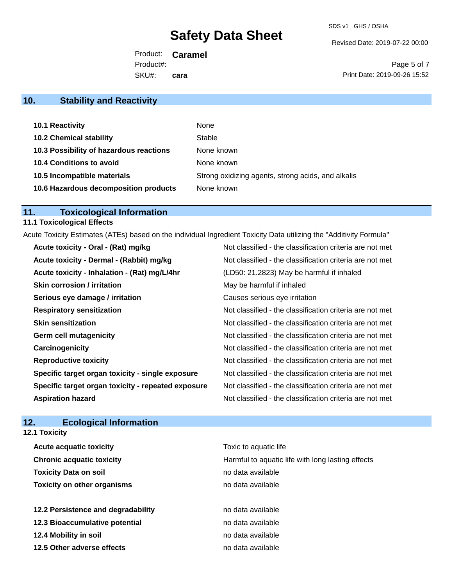Revised Date: 2019-07-22 00:00

Product: **Caramel** SKU#: Product#: **cara**

Page 5 of 7 Print Date: 2019-09-26 15:52

## **10. Stability and Reactivity**

| 10.1 Reactivity                         | None                                               |
|-----------------------------------------|----------------------------------------------------|
| <b>10.2 Chemical stability</b>          | Stable                                             |
| 10.3 Possibility of hazardous reactions | None known                                         |
| <b>10.4 Conditions to avoid</b>         | None known                                         |
| 10.5 Incompatible materials             | Strong oxidizing agents, strong acids, and alkalis |
| 10.6 Hazardous decomposition products   | None known                                         |

## **11. Toxicological Information**

## **11.1 Toxicological Effects**

Acute Toxicity Estimates (ATEs) based on the individual Ingredient Toxicity Data utilizing the "Additivity Formula"

| Acute toxicity - Oral - (Rat) mg/kg                | Not classified - the classification criteria are not met |
|----------------------------------------------------|----------------------------------------------------------|
| Acute toxicity - Dermal - (Rabbit) mg/kg           | Not classified - the classification criteria are not met |
| Acute toxicity - Inhalation - (Rat) mg/L/4hr       | (LD50: 21.2823) May be harmful if inhaled                |
| Skin corrosion / irritation                        | May be harmful if inhaled                                |
| Serious eye damage / irritation                    | Causes serious eye irritation                            |
| <b>Respiratory sensitization</b>                   | Not classified - the classification criteria are not met |
| <b>Skin sensitization</b>                          | Not classified - the classification criteria are not met |
| <b>Germ cell mutagenicity</b>                      | Not classified - the classification criteria are not met |
| Carcinogenicity                                    | Not classified - the classification criteria are not met |
| <b>Reproductive toxicity</b>                       | Not classified - the classification criteria are not met |
| Specific target organ toxicity - single exposure   | Not classified - the classification criteria are not met |
| Specific target organ toxicity - repeated exposure | Not classified - the classification criteria are not met |
| <b>Aspiration hazard</b>                           | Not classified - the classification criteria are not met |

## **12. Ecological Information**

|  | <b>12.1 Toxicity</b> |
|--|----------------------|
|--|----------------------|

| <b>Acute acquatic toxicity</b>     | Toxic to aquatic life                             |
|------------------------------------|---------------------------------------------------|
| <b>Chronic acquatic toxicity</b>   | Harmful to aquatic life with long lasting effects |
| <b>Toxicity Data on soil</b>       | no data available                                 |
| <b>Toxicity on other organisms</b> | no data available                                 |
|                                    |                                                   |
| 12.2 Persistence and degradability | no data available                                 |
| 12.3 Bioaccumulative potential     | no data available                                 |
| 12.4 Mobility in soil              | no data available                                 |
| 12.5 Other adverse effects         | no data available                                 |
|                                    |                                                   |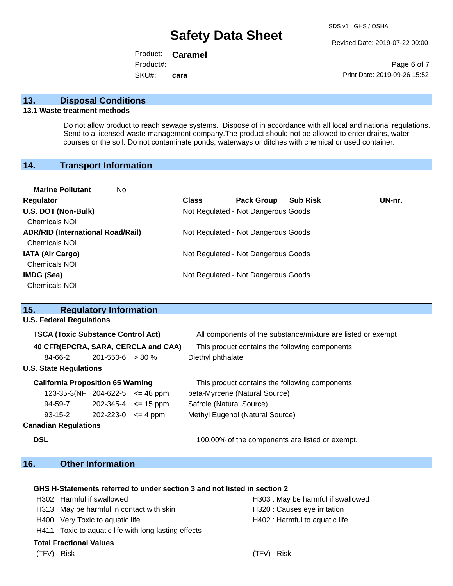Revised Date: 2019-07-22 00:00

Product: **Caramel** SKU#: Product#: **cara**

Page 6 of 7 Print Date: 2019-09-26 15:52

#### **13. Disposal Conditions**

#### **13.1 Waste treatment methods**

Do not allow product to reach sewage systems. Dispose of in accordance with all local and national regulations. Send to a licensed waste management company.The product should not be allowed to enter drains, water courses or the soil. Do not contaminate ponds, waterways or ditches with chemical or used container.

#### **14. Transport Information**

| <b>Marine Pollutant</b><br>No.           |              |                                     |                 |        |
|------------------------------------------|--------------|-------------------------------------|-----------------|--------|
| Regulator                                | <b>Class</b> | <b>Pack Group</b>                   | <b>Sub Risk</b> | UN-nr. |
| U.S. DOT (Non-Bulk)                      |              | Not Regulated - Not Dangerous Goods |                 |        |
| <b>Chemicals NOI</b>                     |              |                                     |                 |        |
| <b>ADR/RID (International Road/Rail)</b> |              | Not Regulated - Not Dangerous Goods |                 |        |
| <b>Chemicals NOI</b>                     |              |                                     |                 |        |
| <b>IATA (Air Cargo)</b>                  |              | Not Regulated - Not Dangerous Goods |                 |        |
| <b>Chemicals NOI</b>                     |              |                                     |                 |        |
| <b>IMDG (Sea)</b>                        |              | Not Regulated - Not Dangerous Goods |                 |        |
| <b>Chemicals NOI</b>                     |              |                                     |                 |        |
|                                          |              |                                     |                 |        |

| 15.                                       | <b>Regulatory Information</b> |  |                                                              |  |  |
|-------------------------------------------|-------------------------------|--|--------------------------------------------------------------|--|--|
| <b>U.S. Federal Regulations</b>           |                               |  |                                                              |  |  |
| <b>TSCA (Toxic Substance Control Act)</b> |                               |  | All components of the substance/mixture are listed or exempt |  |  |
| 40 CFR(EPCRA, SARA, CERCLA and CAA)       |                               |  | This product contains the following components:              |  |  |
| 84-66-2                                   | $201 - 550 - 6 > 80 \%$       |  | Diethyl phthalate                                            |  |  |
| <b>U.S. State Regulations</b>             |                               |  |                                                              |  |  |
| <b>California Proposition 65 Warning</b>  |                               |  | This product contains the following components:              |  |  |
| $123-35-3(NF)$ 204-622-5 $\leq$ 48 ppm    |                               |  | beta-Myrcene (Natural Source)                                |  |  |
| 94-59-7                                   | $202 - 345 - 4 \leq 15$ ppm   |  | Safrole (Natural Source)                                     |  |  |
| $93-15-2$ 202-223-0 $\leq$ 4 ppm          |                               |  | Methyl Eugenol (Natural Source)                              |  |  |
| <b>Canadian Regulations</b>               |                               |  |                                                              |  |  |

**DSL DSL DSL 100.00%** of the components are listed or exempt.

## **16. Other Information**

#### **GHS H-Statements referred to under section 3 and not listed in section 2**

| H302: Harmful if swallowed                                                                                                                                                                                                    |
|-------------------------------------------------------------------------------------------------------------------------------------------------------------------------------------------------------------------------------|
| H313 : May be harmful in contact with                                                                                                                                                                                         |
| H400 : Very Toxic to aquatic life                                                                                                                                                                                             |
| the second that the second control the second control of the second control of the second control of the second control of the second control of the second control of the second control of the second control of the second |

H411 : Toxic to aquatic life with long lasting effects

#### **Total Fractional Values**

H302 : Harmful if swallowed H303 : May be harmful if swallowed h skin **in contact in contact in contact with skin** H320 : Causes eye irritation H402 : Harmful to aquatic life

(TFV) Risk (TFV) Risk